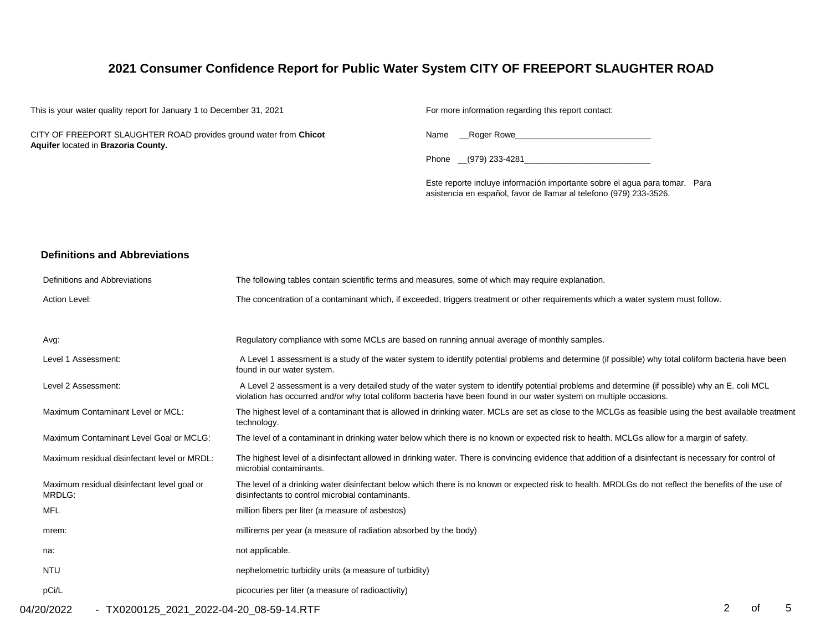# **2021 Consumer Confidence Report for Public Water System CITY OF FREEPORT SLAUGHTER ROAD**

| This is your water quality report for January 1 to December 31, 2021                                     | For more information regarding this report contact:                                                                                              |
|----------------------------------------------------------------------------------------------------------|--------------------------------------------------------------------------------------------------------------------------------------------------|
| CITY OF FREEPORT SLAUGHTER ROAD provides ground water from Chicot<br>Aquifer located in Brazoria County. | Name Roger Rowe<br>the control of the control of the control of the control of the control of the control of                                     |
|                                                                                                          | Phone (979) 233-4281                                                                                                                             |
|                                                                                                          | Este reporte incluye información importante sobre el agua para tomar. Para<br>asistencia en español, favor de llamar al telefono (979) 233-3526. |

## **Definitions and Abbreviations**

| Definitions and Abbreviations                         | The following tables contain scientific terms and measures, some of which may require explanation.                                                                                                                                                                      |
|-------------------------------------------------------|-------------------------------------------------------------------------------------------------------------------------------------------------------------------------------------------------------------------------------------------------------------------------|
| Action Level:                                         | The concentration of a contaminant which, if exceeded, triggers treatment or other requirements which a water system must follow.                                                                                                                                       |
|                                                       |                                                                                                                                                                                                                                                                         |
| Avg:                                                  | Regulatory compliance with some MCLs are based on running annual average of monthly samples.                                                                                                                                                                            |
| Level 1 Assessment:                                   | A Level 1 assessment is a study of the water system to identify potential problems and determine (if possible) why total coliform bacteria have been<br>found in our water system.                                                                                      |
| Level 2 Assessment:                                   | A Level 2 assessment is a very detailed study of the water system to identify potential problems and determine (if possible) why an E. coli MCL<br>violation has occurred and/or why total coliform bacteria have been found in our water system on multiple occasions. |
| Maximum Contaminant Level or MCL:                     | The highest level of a contaminant that is allowed in drinking water. MCLs are set as close to the MCLGs as feasible using the best available treatment<br>technology.                                                                                                  |
| Maximum Contaminant Level Goal or MCLG:               | The level of a contaminant in drinking water below which there is no known or expected risk to health. MCLGs allow for a margin of safety.                                                                                                                              |
| Maximum residual disinfectant level or MRDL:          | The highest level of a disinfectant allowed in drinking water. There is convincing evidence that addition of a disinfectant is necessary for control of<br>microbial contaminants.                                                                                      |
| Maximum residual disinfectant level goal or<br>MRDLG: | The level of a drinking water disinfectant below which there is no known or expected risk to health. MRDLGs do not reflect the benefits of the use of<br>disinfectants to control microbial contaminants.                                                               |
| MFL                                                   | million fibers per liter (a measure of asbestos)                                                                                                                                                                                                                        |
| mrem:                                                 | millirems per year (a measure of radiation absorbed by the body)                                                                                                                                                                                                        |
| na:                                                   | not applicable.                                                                                                                                                                                                                                                         |
| <b>NTU</b>                                            | nephelometric turbidity units (a measure of turbidity)                                                                                                                                                                                                                  |
| pCi/L                                                 | picocuries per liter (a measure of radioactivity)                                                                                                                                                                                                                       |

04/20/2022 - TX0200125\_2021\_2022-04-20\_08-59-14.RTF 2 and 5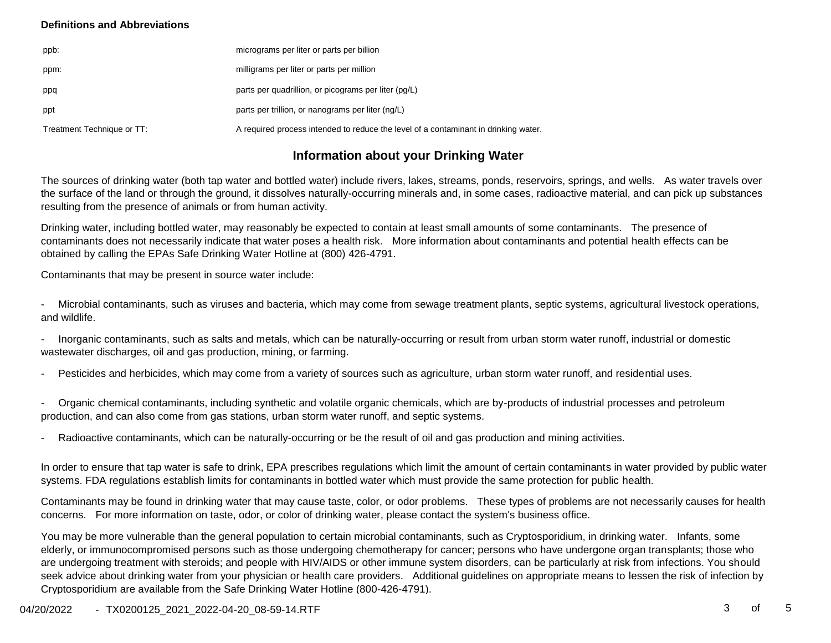### **Definitions and Abbreviations**

| ppb:                       | micrograms per liter or parts per billion                                           |
|----------------------------|-------------------------------------------------------------------------------------|
| ppm:                       | milligrams per liter or parts per million                                           |
| ppq                        | parts per quadrillion, or picograms per liter (pq/L)                                |
| ppt                        | parts per trillion, or nanograms per liter (ng/L)                                   |
| Treatment Technique or TT: | A required process intended to reduce the level of a contaminant in drinking water. |

## **Information about your Drinking Water**

The sources of drinking water (both tap water and bottled water) include rivers, lakes, streams, ponds, reservoirs, springs, and wells. As water travels over the surface of the land or through the ground, it dissolves naturally-occurring minerals and, in some cases, radioactive material, and can pick up substances resulting from the presence of animals or from human activity.

Drinking water, including bottled water, may reasonably be expected to contain at least small amounts of some contaminants. The presence of contaminants does not necessarily indicate that water poses a health risk. More information about contaminants and potential health effects can be obtained by calling the EPAs Safe Drinking Water Hotline at (800) 426-4791.

Contaminants that may be present in source water include:

- Microbial contaminants, such as viruses and bacteria, which may come from sewage treatment plants, septic systems, agricultural livestock operations, and wildlife.

- Inorganic contaminants, such as salts and metals, which can be naturally-occurring or result from urban storm water runoff, industrial or domestic wastewater discharges, oil and gas production, mining, or farming.

Pesticides and herbicides, which may come from a variety of sources such as agriculture, urban storm water runoff, and residential uses.

- Organic chemical contaminants, including synthetic and volatile organic chemicals, which are by-products of industrial processes and petroleum production, and can also come from gas stations, urban storm water runoff, and septic systems.

Radioactive contaminants, which can be naturally-occurring or be the result of oil and gas production and mining activities.

In order to ensure that tap water is safe to drink, EPA prescribes regulations which limit the amount of certain contaminants in water provided by public water systems. FDA regulations establish limits for contaminants in bottled water which must provide the same protection for public health.

Contaminants may be found in drinking water that may cause taste, color, or odor problems. These types of problems are not necessarily causes for health concerns. For more information on taste, odor, or color of drinking water, please contact the system's business office.

You may be more vulnerable than the general population to certain microbial contaminants, such as Cryptosporidium, in drinking water. Infants, some elderly, or immunocompromised persons such as those undergoing chemotherapy for cancer; persons who have undergone organ transplants; those who are undergoing treatment with steroids; and people with HIV/AIDS or other immune system disorders, can be particularly at risk from infections. You should seek advice about drinking water from your physician or health care providers. Additional guidelines on appropriate means to lessen the risk of infection by Cryptosporidium are available from the Safe Drinking Water Hotline (800-426-4791).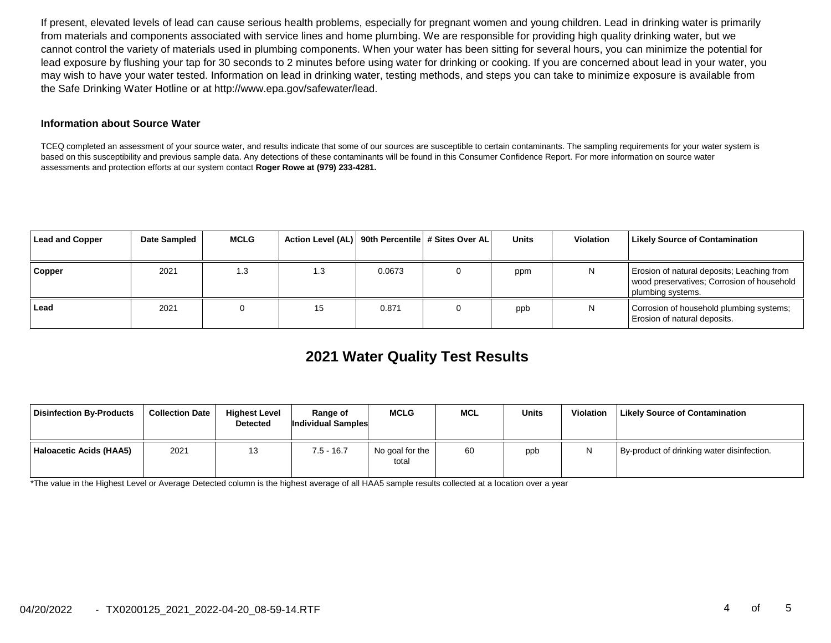If present, elevated levels of lead can cause serious health problems, especially for pregnant women and young children. Lead in drinking water is primarily from materials and components associated with service lines and home plumbing. We are responsible for providing high quality drinking water, but we cannot control the variety of materials used in plumbing components. When your water has been sitting for several hours, you can minimize the potential for lead exposure by flushing your tap for 30 seconds to 2 minutes before using water for drinking or cooking. If you are concerned about lead in your water, you may wish to have your water tested. Information on lead in drinking water, testing methods, and steps you can take to minimize exposure is available from the Safe Drinking Water Hotline or at http://www.epa.gov/safewater/lead.

#### **Information about Source Water**

TCEQ completed an assessment of your source water, and results indicate that some of our sources are susceptible to certain contaminants. The sampling requirements for your water system is based on this susceptibility and previous sample data. Any detections of these contaminants will be found in this Consumer Confidence Report. For more information on source water assessments and protection efforts at our system contact **Roger Rowe at (979) 233-4281.**

| <b>Lead and Copper</b> | Date Sampled | <b>MCLG</b> | Action Level (AL)   90th Percentile   # Sites Over AL |        | <b>Units</b> | <b>Violation</b> | <b>Likely Source of Contamination</b>                                                                         |
|------------------------|--------------|-------------|-------------------------------------------------------|--------|--------------|------------------|---------------------------------------------------------------------------------------------------------------|
|                        |              |             |                                                       |        |              |                  |                                                                                                               |
| Copper                 | 2021         | 1.3         | 1.3                                                   | 0.0673 | ppm          | N                | Erosion of natural deposits; Leaching from<br>wood preservatives; Corrosion of household<br>plumbing systems. |
| Lead                   | 2021         |             | 15                                                    | 0.871  | ppb          | N                | Corrosion of household plumbing systems;<br>Erosion of natural deposits.                                      |

# **2021 Water Quality Test Results**

| <b>Disinfection By-Products</b> | <b>Collection Date</b> | <b>Highest Level</b><br><b>Detected</b> | <b>Range of</b><br>Individual Samples | <b>MCLG</b>              | <b>MCL</b> | <b>Units</b> | Violation | Likely Source of Contamination             |
|---------------------------------|------------------------|-----------------------------------------|---------------------------------------|--------------------------|------------|--------------|-----------|--------------------------------------------|
| Haloacetic Acids (HAA5)         | 2021                   | 13                                      | $7.5 - 16.7$                          | No goal for the<br>total | 60         | ppb          |           | By-product of drinking water disinfection. |

\*The value in the Highest Level or Average Detected column is the highest average of all HAA5 sample results collected at a location over a year